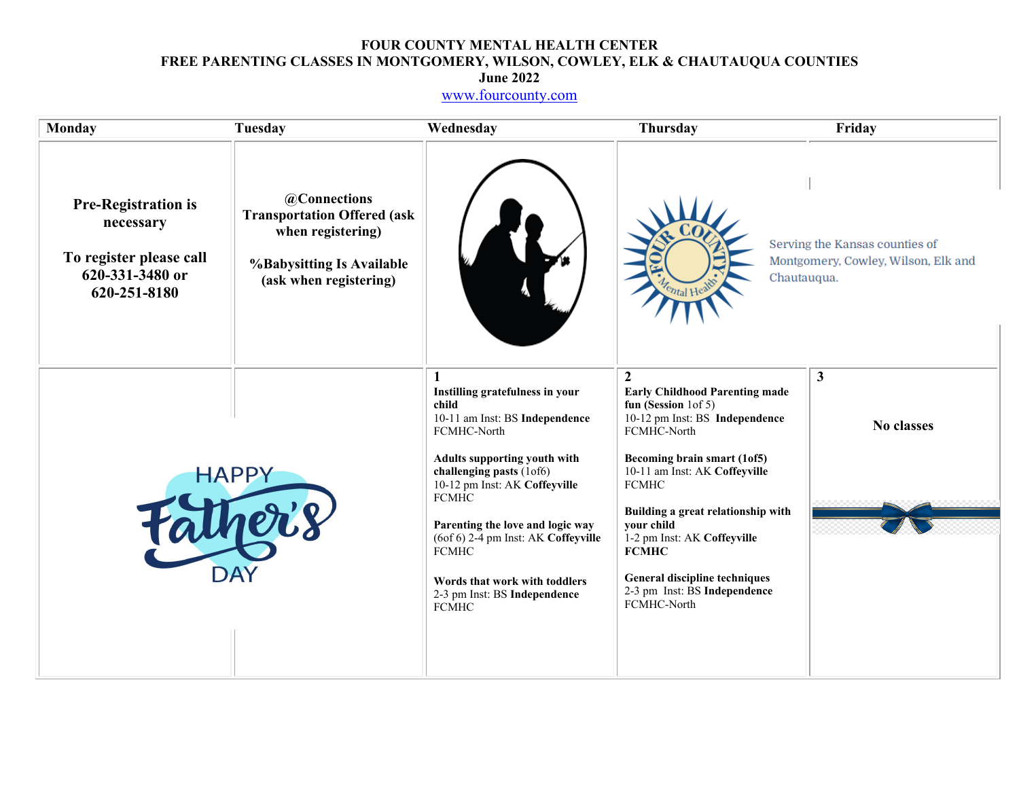# **FOUR COUNTY MENTAL HEALTH CENTER FREE PARENTING CLASSES IN MONTGOMERY, WILSON, COWLEY, ELK & CHAUTAUQUA COUNTIES**

**June 2022** 

www.fourcounty.com

| <b>Monday</b>                                                                                         | <b>Tuesday</b>                                                                                                                 | Wednesday                                                                                                                                                                                                                                                                                                                                                                                 | <b>Thursday</b>                                                                                                                                                                                                                                                                                                                                                                                          | Friday                                                                |
|-------------------------------------------------------------------------------------------------------|--------------------------------------------------------------------------------------------------------------------------------|-------------------------------------------------------------------------------------------------------------------------------------------------------------------------------------------------------------------------------------------------------------------------------------------------------------------------------------------------------------------------------------------|----------------------------------------------------------------------------------------------------------------------------------------------------------------------------------------------------------------------------------------------------------------------------------------------------------------------------------------------------------------------------------------------------------|-----------------------------------------------------------------------|
| <b>Pre-Registration is</b><br>necessary<br>To register please call<br>620-331-3480 or<br>620-251-8180 | @Connections<br><b>Transportation Offered (ask</b><br>when registering)<br>%Babysitting Is Available<br>(ask when registering) |                                                                                                                                                                                                                                                                                                                                                                                           | Chautauqua.<br>Tental Hea                                                                                                                                                                                                                                                                                                                                                                                | Serving the Kansas counties of<br>Montgomery, Cowley, Wilson, Elk and |
|                                                                                                       | <b>HAPPY</b>                                                                                                                   | Instilling gratefulness in your<br>child<br>10-11 am Inst: BS Independence<br>FCMHC-North<br><b>Adults supporting youth with</b><br>challenging pasts (1of6)<br>10-12 pm Inst: AK Coffeyville<br><b>FCMHC</b><br>Parenting the love and logic way<br>(6of 6) 2-4 pm Inst: AK Coffeyville<br><b>FCMHC</b><br>Words that work with toddlers<br>2-3 pm Inst: BS Independence<br><b>FCMHC</b> | $\boldsymbol{2}$<br><b>Early Childhood Parenting made</b><br>fun (Session $1 of 5$ )<br>10-12 pm Inst: BS Independence<br>FCMHC-North<br>Becoming brain smart (1of5)<br>10-11 am Inst: AK Coffeyville<br><b>FCMHC</b><br>Building a great relationship with<br>your child<br>1-2 pm Inst: AK Coffeyville<br><b>FCMHC</b><br>General discipline techniques<br>2-3 pm Inst: BS Independence<br>FCMHC-North | $\mathbf{3}$<br><b>No classes</b>                                     |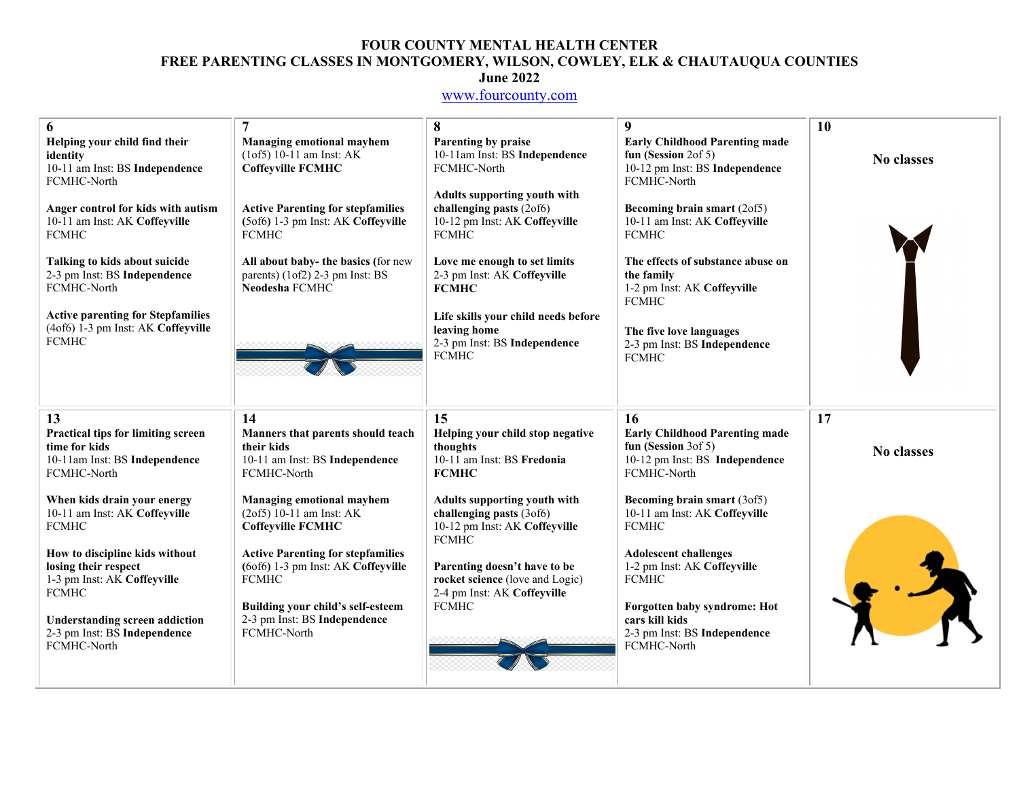### **FOUR COUNTY MENTAL HEALTH CENTER FREE PARENTING CLASSES IN MONTGOMERY, WILSON, COWLEY, ELK & CHAUTAUQUA COUNTIES June 2022**

### www.fourcounty.com

| 6                                                                                                     | 7                                                                                                | 8                                                                                                         | 9                                                                                                                | 10                |
|-------------------------------------------------------------------------------------------------------|--------------------------------------------------------------------------------------------------|-----------------------------------------------------------------------------------------------------------|------------------------------------------------------------------------------------------------------------------|-------------------|
| Helping your child find their<br>identity<br>10-11 am Inst: BS Independence<br>FCMHC-North            | <b>Managing emotional mayhem</b><br>$(10f5) 10-11$ am Inst: AK<br><b>Coffeyville FCMHC</b>       | Parenting by praise<br>10-11am Inst: BS Independence<br>FCMHC-North                                       | <b>Early Childhood Parenting made</b><br>fun (Session $2$ of 5)<br>10-12 pm Inst: BS Independence<br>FCMHC-North | <b>No classes</b> |
| Anger control for kids with autism<br>10-11 am Inst: AK Coffeyville<br><b>FCMHC</b>                   | <b>Active Parenting for stepfamilies</b><br>(5of6) 1-3 pm Inst: AK Coffeyville<br><b>FCMHC</b>   | Adults supporting youth with<br>challenging pasts (2of6)<br>10-12 pm Inst: AK Coffeyville<br><b>FCMHC</b> | <b>Becoming brain smart (2of5)</b><br>10-11 am Inst: AK Coffeyville<br><b>FCMHC</b>                              |                   |
| Talking to kids about suicide<br>2-3 pm Inst: BS Independence<br>FCMHC-North                          | All about baby- the basics (for new<br>parents) (1of2) 2-3 pm Inst: BS<br>Neodesha FCMHC         | Love me enough to set limits<br>2-3 pm Inst: AK Coffeyville<br><b>FCMHC</b>                               | The effects of substance abuse on<br>the family<br>1-2 pm Inst: AK Coffeyville<br><b>FCMHC</b>                   |                   |
| <b>Active parenting for Stepfamilies</b><br>(4of6) 1-3 pm Inst: AK Coffeyville<br><b>FCMHC</b>        |                                                                                                  | Life skills your child needs before<br>leaving home<br>2-3 pm Inst: BS Independence<br><b>FCMHC</b>       | The five love languages<br>2-3 pm Inst: BS Independence<br><b>FCMHC</b>                                          |                   |
| 13                                                                                                    | 14                                                                                               | 15                                                                                                        | 16                                                                                                               | 17                |
| Practical tips for limiting screen<br>time for kids<br>10-11am Inst: BS Independence<br>FCMHC-North   | Manners that parents should teach<br>their kids<br>10-11 am Inst: BS Independence<br>FCMHC-North | Helping your child stop negative<br>thoughts<br>10-11 am Inst: BS Fredonia<br><b>FCMHC</b>                | <b>Early Childhood Parenting made</b><br>fun (Session $3$ of 5)<br>10-12 pm Inst: BS Independence<br>FCMHC-North | No classes        |
| When kids drain your energy<br>10-11 am Inst: AK Coffeyville<br><b>FCMHC</b>                          | <b>Managing emotional mayhem</b><br>$(2of5) 10-11$ am Inst: AK<br><b>Coffeyville FCMHC</b>       | Adults supporting youth with<br>challenging pasts (3of6)<br>10-12 pm Inst: AK Coffeyville<br><b>FCMHC</b> | Becoming brain smart (3of5)<br>10-11 am Inst: AK Coffeyville<br><b>FCMHC</b>                                     |                   |
| How to discipline kids without<br>losing their respect<br>1-3 pm Inst: AK Coffeyville<br><b>FCMHC</b> | <b>Active Parenting for stepfamilies</b><br>(6of6) 1-3 pm Inst: AK Coffeyville<br><b>FCMHC</b>   | Parenting doesn't have to be<br>rocket science (love and Logic)<br>2-4 pm Inst: AK Coffeyville            | <b>Adolescent challenges</b><br>1-2 pm Inst: AK Coffeyville<br><b>FCMHC</b>                                      |                   |
| <b>Understanding screen addiction</b><br>2-3 pm Inst: BS Independence<br>FCMHC-North                  | Building your child's self-esteem<br>2-3 pm Inst: BS Independence<br>FCMHC-North                 | <b>FCMHC</b>                                                                                              | Forgotten baby syndrome: Hot<br>cars kill kids<br>2-3 pm Inst: BS Independence<br>FCMHC-North                    |                   |
|                                                                                                       |                                                                                                  |                                                                                                           |                                                                                                                  |                   |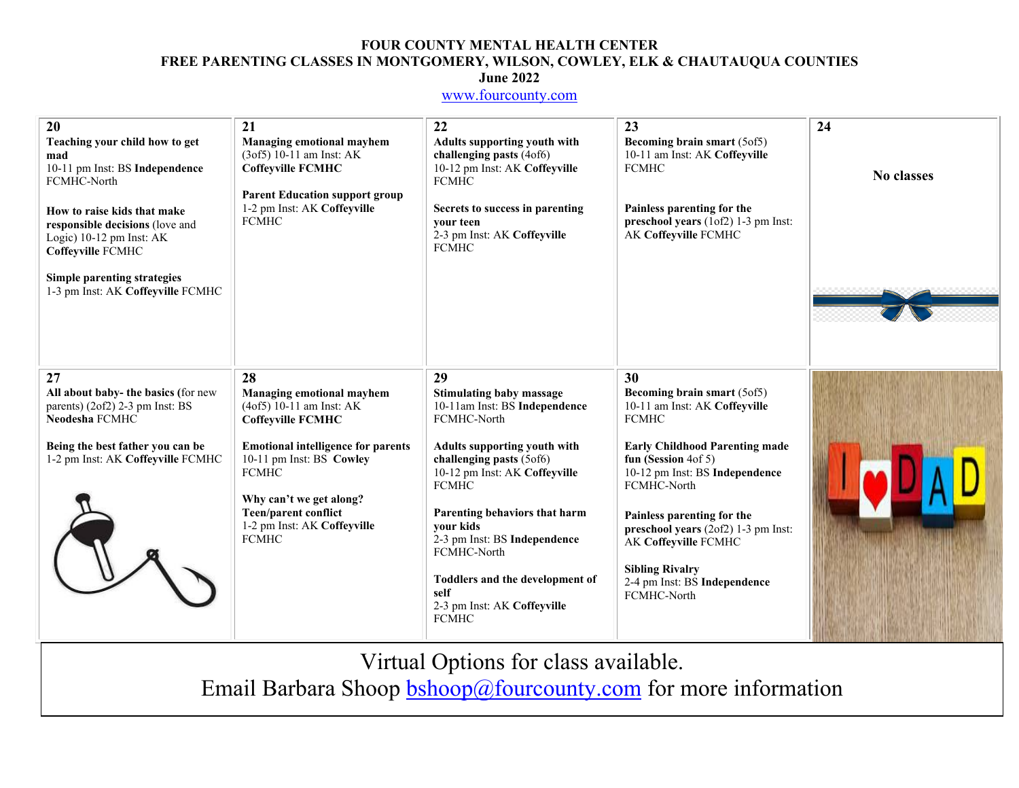### **FOUR COUNTY MENTAL HEALTH CENTER FREE PARENTING CLASSES IN MONTGOMERY, WILSON, COWLEY, ELK & CHAUTAUQUA COUNTIES June 2022**

### www.fourcounty.com

| 20<br>Teaching your child how to get<br>mad<br>10-11 pm Inst: BS Independence<br>FCMHC-North<br>How to raise kids that make<br>responsible decisions (love and<br>Logic) 10-12 pm Inst: AK<br>Coffeyville FCMHC<br>Simple parenting strategies<br>1-3 pm Inst: AK Coffeyville FCMHC | 21<br><b>Managing emotional mayhem</b><br>$(3.05) 10-11$ am Inst: AK<br><b>Coffeyville FCMHC</b><br><b>Parent Education support group</b><br>1-2 pm Inst: AK Coffeyville<br><b>FCMHC</b>                                                                                             | 22<br><b>Adults supporting youth with</b><br>challenging pasts (4of6)<br>10-12 pm Inst: AK Coffeyville<br><b>FCMHC</b><br>Secrets to success in parenting<br>your teen<br>2-3 pm Inst: AK Coffeyville<br><b>FCMHC</b>                                                                                                                                                                            | 23<br>Becoming brain smart (5of5)<br>10-11 am Inst: AK Coffeyville<br><b>FCMHC</b><br>Painless parenting for the<br>preschool years (1of2) 1-3 pm Inst:<br>AK Coffeyville FCMHC                                                                                                                                                                                              | 24<br><b>No classes</b> |
|-------------------------------------------------------------------------------------------------------------------------------------------------------------------------------------------------------------------------------------------------------------------------------------|--------------------------------------------------------------------------------------------------------------------------------------------------------------------------------------------------------------------------------------------------------------------------------------|--------------------------------------------------------------------------------------------------------------------------------------------------------------------------------------------------------------------------------------------------------------------------------------------------------------------------------------------------------------------------------------------------|------------------------------------------------------------------------------------------------------------------------------------------------------------------------------------------------------------------------------------------------------------------------------------------------------------------------------------------------------------------------------|-------------------------|
| 27<br>All about baby- the basics (for new<br>parents) (2of2) 2-3 pm Inst: BS<br>Neodesha FCMHC<br>Being the best father you can be<br>1-2 pm Inst: AK Coffeyville FCMHC                                                                                                             | 28<br>Managing emotional mayhem<br>$(4of5)$ 10-11 am Inst: AK<br><b>Coffeyville FCMHC</b><br><b>Emotional intelligence for parents</b><br>10-11 pm Inst: BS Cowley<br><b>FCMHC</b><br>Why can't we get along?<br>Teen/parent conflict<br>1-2 pm Inst: AK Coffeyville<br><b>FCMHC</b> | 29<br><b>Stimulating baby massage</b><br>10-11am Inst: BS Independence<br>FCMHC-North<br><b>Adults supporting youth with</b><br>challenging pasts (5of6)<br>10-12 pm Inst: AK Coffeyville<br><b>FCMHC</b><br>Parenting behaviors that harm<br>vour kids<br>2-3 pm Inst: BS Independence<br>FCMHC-North<br>Toddlers and the development of<br>self<br>2-3 pm Inst: AK Coffeyville<br><b>FCMHC</b> | 30<br>Becoming brain smart (5of5)<br>10-11 am Inst: AK Coffeyville<br><b>FCMHC</b><br><b>Early Childhood Parenting made</b><br>fun (Session $4$ of 5)<br>10-12 pm Inst: BS Independence<br>FCMHC-North<br>Painless parenting for the<br>preschool years (2of2) 1-3 pm Inst:<br>AK Coffeyville FCMHC<br><b>Sibling Rivalry</b><br>2-4 pm Inst: BS Independence<br>FCMHC-North |                         |

Virtual Options for class available.

Email Barbara Shoop **bshoop@fourcounty.com** for more information